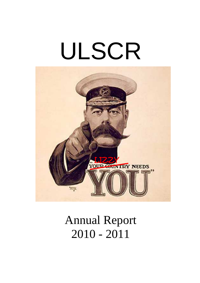# ULSCR



# Annual Report 2010 - 2011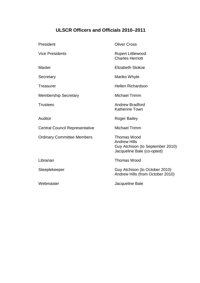# **ULSCR Officers and Officials 2010–2011**

| President                             | <b>Oliver Cross</b>                                                                                  |
|---------------------------------------|------------------------------------------------------------------------------------------------------|
| <b>Vice Presidents</b>                | <b>Rupert Littlewood</b><br><b>Charles Herriott</b>                                                  |
| <b>Master</b>                         | <b>Elizabeth Stokoe</b>                                                                              |
| Secretary                             | Mariko Whyte                                                                                         |
| <b>Treasurer</b>                      | <b>Hellen Richardson</b>                                                                             |
| <b>Membership Secretary</b>           | <b>Michael Trimm</b>                                                                                 |
| <b>Trustees</b>                       | <b>Andrew Bradford</b><br><b>Katherine Town</b>                                                      |
| Auditor                               | <b>Roger Bailey</b>                                                                                  |
| <b>Central Council Representative</b> | <b>Michael Trimm</b>                                                                                 |
| <b>Ordinary Committee Members</b>     | Thomas Wood<br><b>Andrew Hills</b><br>Guy Atchison (to September 2010)<br>Jacqueline Bale (co-opted) |
| Librarian                             | <b>Thomas Wood</b>                                                                                   |
| Steeplekeeper                         | Guy Atchison (to October 2010)<br>Andrew Hills (from October 2010)                                   |
| Webmaster                             | Jacqueline Bale                                                                                      |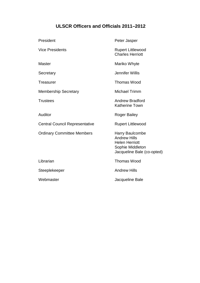# **ULSCR Officers and Officials 2011–2012**

| President       |                                       | Peter Jasper                                                                                                             |
|-----------------|---------------------------------------|--------------------------------------------------------------------------------------------------------------------------|
|                 | <b>Vice Presidents</b>                | <b>Rupert Littlewood</b><br><b>Charles Herriott</b>                                                                      |
| <b>Master</b>   |                                       | Mariko Whyte                                                                                                             |
| Secretary       |                                       | Jennifer Willis                                                                                                          |
| Treasurer       |                                       | <b>Thomas Wood</b>                                                                                                       |
|                 | <b>Membership Secretary</b>           | <b>Michael Trimm</b>                                                                                                     |
| <b>Trustees</b> |                                       | <b>Andrew Bradford</b><br><b>Katherine Town</b>                                                                          |
| Auditor         |                                       | <b>Roger Bailey</b>                                                                                                      |
|                 |                                       |                                                                                                                          |
|                 | <b>Central Council Representative</b> | <b>Rupert Littlewood</b>                                                                                                 |
|                 | <b>Ordinary Committee Members</b>     | <b>Harry Baulcombe</b><br><b>Andrew Hills</b><br><b>Helen Herriott</b><br>Sophie Middleton<br>Jacqueline Bale (co-opted) |
| Librarian       |                                       | <b>Thomas Wood</b>                                                                                                       |
|                 | Steeplekeeper                         | <b>Andrew Hills</b>                                                                                                      |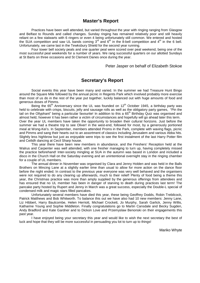# **Master's Report**

Practices have been well attended, but varied throughout the year with ringing ranging from Glasgow and Belfast to Rounds and called changes. Sunday ringing has remained relatively poor and still heavily reliant on a few stalwarts with 6 ringers or even 4 being unfortunately still common. We entered and hosted the SUA competition and saw UL bands coming  $3<sup>rd</sup>$  and  $6<sup>th</sup>$  in the 8-bell competition and  $4<sup>th</sup>$  in the 6 bell. Unfortunately, we came last in the Tewksbury Shield for the second year running.

Four tower bell society peals and one quarter peal were scored over peal weekend, being one of the most successful peal weekends for a number of years. We rang successful quarters on our allotted Sundays at St Barts on three occasions and St Clement Danes once during the year.

Peter Jasper on behalf of Elizabeth Stokoe

# **Secretary's Report**

Social events this year have been many and varied. In the summer we had Treasure Hunt Bingo around the Square Mile followed by the annual picnic in Regents Park which involved probably more exercise than most of us do in the rest of the year put together, luckily balanced out with huge amounts of food and generous doses of Pimms.

Being the 65<sup>th</sup> Anniversary since the UL was founded on 12<sup>th</sup> October 1945, a birthday party was held to celebrate with crisps, biscuits, jelly and sausage rolls as well as the obligatory party games, "Pin the tail on the Ollyphant" being a particular favourite! In addition to this a 65<sup>th</sup> Birthday Quiz was organised and almost held, however it has been rather a victim of circumstances and hopefully will go ahead later this term. Over the year UL members have taken the opportunity to broaden their cultural horizons. Just before the summer we had a theatre trip to see Oliver! in the west-end, followed for most, by a generously portioned meal at Wong-Kei's. In September, members attended Proms in the Park, complete with waving flags, picnic and Pimms and sang their hearts out to an assortment of classics including Jerusalem and various Abba hits. Slightly less highbrow but just as enjoyable were trips to see the first instalment of the last Harry Potter film

and Ceilidh dancing at Cecil Sharp house. This year there have been new members in abundance, and the Freshers' Reception held at the Walrus and Carpenter was well attended, with one fresher managing to turn up, having completely missed the practice beforehand! Inter-society mingling at SUA in the autumn was based in London and included a disco in the Church Hall on the Saturday evening and an unintentional overnight stay in the ringing chamber for a couple of UL members.

The annual dinner in November was organised by Clara and Jenny Holden and was held in the Balls Brothers on Mincing Lane at a slightly earlier time than usual to allow for more action on the dance floor before the night ended. In contrast to the previous year everyone was very well behaved and the organisers were not required to do any clearing up afterwards, much to their relief! Plenty of food being a theme this year, the Christmas practice was more than amply supplied by the generous offerings from attendees and has ensured that no UL member has been in danger of starving to death during practices last term! The pancake party hosted by Rupert and Jenny in March was a great success, especially the Double-L special of condensed milk and magic stars filled pancakes.

Unfortunately several members have died this year, these being Geoffrey Dodds, Robin Trebilcock, Patrick Matthews and Bob Whitworth. To balance this out we have also had 10 new members: Jenny Lane, Liz Hibbert, Harry Baulcombe, Helen Herriott, Michael Crockett, Jo Murphy, Sarah Garlick, Jenny Willis, Katharine Young and Sophie Middleton. Finally congratulations go to Martin Cansdale and Becky Sugden, Andy Bradford and Kate Gardner and to Dickon Love and Przemyslaw Benonski on their engagements this past year.

I have enjoyed being your secretary this year and would like to wish the next secretary the best of luck and hope that they will be more successful in persuading you lot to turn up to things!

Mariko Whyte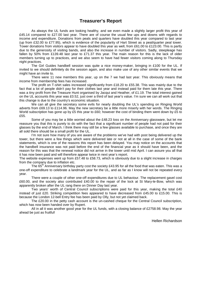# **Treasurer's Report**

As always the UL funds are looking healthy, and we even made a slightly larger profit this year of £45.14 compared to £27.00 last year. There are of course the usual few ups and downs with regards to income and expenditure. Donations from peals and quarters have doubled this year compared to last year (up from £32.00 to £77.95), which is evidence of the popularity of Hart Street as a peal/quarter peal tower. Tower donations from visitors appear to have doubled this year as well, from £61.00 to £123.00. This is partly due to the generosity of visiting bands, and also the increase in number of visitors. Sadly, steepleage has fallen by 50% from £139.48 last year to £71.37 this year. The main reason for this is the lack of older members turning up to practices, and we also seem to have had fewer visitors coming along to Thursday night practices.

The Girl Guides handbell session was quite a nice money-maker, bringing in £100 for the UL. If invited to we should definitely do the session again, and also make use of any other similar events that we might have an invite to.

There were 11 new members this year, up on the 7 we had last year. This obviously means that income from membership fees has increased.

The profit on T-shirt sales increased significantly from £18.20 to £55.38. This was mainly due to the fact that a lot of people didn't pay for their clothes last year and instead paid for them late this year. There was a tiny profit from the Treasure Hunt organised by Jacqui and Heather, of £1.19. The total interest gained on the UL accounts this year was £0.52, just over a third of last year's value. I'm sure we can all work out that this change is due to the country's economic situation.

We can all give the secretary some evils for nearly doubling the UL's spending on Ringing World adverts from £69.13 to £114.96. May the new secretary be a little more miserly with her words. The Ringing World subscription has gone up by £5 this year to £60; however the cost of binding them went down by £5 to £55.

Some of you may be a little worried about the £48.23 loss on the Anniversary glassware, but let me reassure you that this is purely to do with the fact that a significant number of people had not paid for their glasses by the end of March. I think there may still be a few glasses available to purchase, and once they are all sold there should be a small profit for the UL.

I'm not sure how many of you are aware of the problems we've had with post being delivered up the tower, but there were a few things which were delivered late or not at all in the case of some of the bank statements, which is one of the reasons this report has been delayed. You may notice on the accounts that the handbell insurance was not paid before the end of the financial year as it should have been, and the reason for this was that the renewal notice did not arrive in the tower until mid April. I can assure you all that it has now been paid and will therefore appear twice in next year's report.

The website expenses went up from £57.48 to £58.73, which is obviously due to a slight increase in charges from the company due to inflation etc.

The 65<sup>th</sup> Anniversary birthday party cost the society £43.95 for all the food that was eaten. This was a one-off expenditure to celebrate a landmark year for the UL, and as far as I know will not be repeated every year.

There were a couple of other one-off expenditures due to UL behaviour. The replacement gavel cost £60.00, and the society also contributed £40.00 to the repair of the lock at St Mary-le-Bow, which was apparently broken after the UL rang there on Dinner Day last year.

Two years' worth of Central Council subscriptions were paid for this year, making the total £40 instead of just £20. Striking competition fees appeared to have decreased from £45.00 to £15.00. This is because the London 12-bell Entry fee has been paid by Olly, but not yet claimed back.

The £20.00 in the petty cash account is the un-cashed cheque for the Central Council subscription, which has now been handed over by Rupert.

 All in all it was another good year for the UL funds, with a closing balance of £2758.98. May the year ahead be just as fruitful!

Hellen Richardson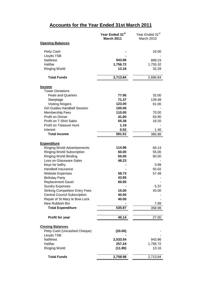# **Accounts for the Year Ended 31st March 2011**

|                                                            | Year Ended 31st<br><b>March 2011</b> | Year Ended 31st<br>March 2010 |
|------------------------------------------------------------|--------------------------------------|-------------------------------|
| <b>Opening Balances</b>                                    |                                      |                               |
| Petty Cash                                                 |                                      | 10.00                         |
| Lloyds TSB                                                 |                                      |                               |
| <b>NatWest</b>                                             | 943.96                               | 889.23                        |
| Halifax                                                    | 1,756.72                             | 1,755.32                      |
| <b>Ringing World</b>                                       | 13.16                                | 32.29                         |
| <b>Total Funds</b>                                         | 2,713.84                             | 2,686.84                      |
| <b>Income</b>                                              |                                      |                               |
| <b>Tower Donations</b>                                     |                                      |                               |
| <b>Peals and Quarters</b>                                  | 77.95                                | 32.00                         |
| Steeplage                                                  | 71.37                                | 139.48                        |
| <b>Visiting Ringers</b>                                    | 123.00                               | 61.00                         |
| <b>Girl Guides Handbell Session</b>                        | 100.00                               |                               |
| <b>Membership Fees</b>                                     | 110.00                               | 70.00                         |
| Profit on Dinner                                           | 41.60                                | 63.90                         |
| Profit on T-Shirt Sales                                    | 55.38                                | 18.20                         |
| <b>Profit on Treasure Hunt</b>                             | 1.19                                 |                               |
| Interest                                                   | 0.52                                 | 1.40                          |
| <b>Total Income</b>                                        | 581.01                               | 385.98                        |
|                                                            |                                      |                               |
| <b>Expenditure</b>                                         |                                      |                               |
| <b>Ringing World Advertisements</b>                        | 114.96<br>60.00                      | 69.13                         |
| <b>Ringing World Subscription</b><br>Ringing World Binding | 55.00                                | 55.00<br>60.00                |
| Loss on Glassware Sales                                    | 48.23                                |                               |
| Keys for belfry                                            |                                      | 3.99                          |
| Handbell Insurance                                         |                                      | 55.02                         |
| <b>Website Expenses</b>                                    | 58.73                                | 57.48                         |
| <b>Birthday Party</b>                                      | 43.95                                |                               |
| <b>Replacement Gavel</b>                                   | 60.00                                |                               |
| <b>Sundry Expenses</b>                                     |                                      | 5.37                          |
| <b>Striking Competition Entry Fees</b>                     | 15.00                                | 45.00                         |
| <b>Central Council Subscription</b>                        | 40.00                                |                               |
| Repair of St Mary le Bow Lock                              | 40.00                                |                               |
| New Rubbish Bin                                            |                                      | 7.99                          |
| <b>Total Expenditure</b>                                   | 535.87                               | 358.98                        |
| Profit for year                                            | 45.14                                | 27.00                         |
|                                                            |                                      |                               |
| <b>Closing Balances</b>                                    |                                      |                               |
| Petty Cash (Uncashed Cheque)                               | (20.00)                              |                               |
| Lloyds TSB                                                 |                                      |                               |
| <b>NatWest</b>                                             | 2,533.54                             | 943.96                        |
| Halifax                                                    | 257.24                               | 1,756.72                      |
| <b>Ringing World</b>                                       | (11.80)                              | 13.16                         |
| <b>Total Funds</b>                                         | 2,758.98                             | 2,713.84                      |
|                                                            |                                      |                               |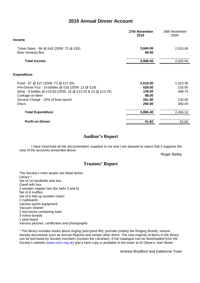# **2010 Annual Dinner Account**

|                                                                                                                                                                                                                                    | 27th November<br>2010                                     | 28th November<br>2009                            |
|------------------------------------------------------------------------------------------------------------------------------------------------------------------------------------------------------------------------------------|-----------------------------------------------------------|--------------------------------------------------|
| <b>Income</b>                                                                                                                                                                                                                      |                                                           |                                                  |
| Ticket Sales - 96 @ £40 (2009: 72 @ £35)<br>Beer Honesty Box                                                                                                                                                                       | 3,840.00<br>68.00                                         | 2,520.00                                         |
| <b>Total Income</b>                                                                                                                                                                                                                | 3,908.00                                                  | 2,520.00                                         |
| <b>Expenditure</b>                                                                                                                                                                                                                 |                                                           |                                                  |
| Food - 97 @ £27 (2009: 73 @ £17.95)<br>Pre-Dinner Fizz - 16 bottles @ £33 (2009: 12 @ £18)<br>Wine - 9 bottles @ £15.50 (2009: 18 @ £13.25 & 19 @ £13.75)<br>Corkage on Beer<br>Service Charge - 10% of food spend<br><b>Disco</b> | 2,619.00<br>528.00<br>139.50<br>68.00<br>261.90<br>250.00 | 1,310.35<br>216.00<br>499.75<br>130.00<br>300.00 |
| <b>Total Expenditure</b>                                                                                                                                                                                                           | 3,866.40                                                  | 2,456.10                                         |
| <b>Profit on Dinner</b>                                                                                                                                                                                                            | 41.60                                                     | 63.90                                            |

# **Auditor's Report**

I have examined all the documentation supplied to me and I am pleased to report that it supports the view of the accounts presented above.

Roger Bailey

# **Trustees' Report**

The Society's main assets are listed below: Library \* Set of 14 handbells with box Gavel with box 2 wooden clapper ties (for bells 3 and 6) Set of 8 muffles Set of 6 fold up wooden chairs 2 cupboards Various sports equipment Vacuum cleaner 2 tool boxes containing tools 3 notice boards 1 peal board Various pictures, certificates and photographs

\* The library includes books about ringing (and pond life), journals (mainly the Ringing World), various Society documents such as Annual Reports and certain other items. The vast majority of items in the library can be borrowed by Society members (contact the Librarian). A full catalogue can be downloaded from the Society's website (www.ulscr.org.uk) and a hard copy is available in the tower at St Olave's, Hart Street .

Andrew Bradford and Katherine Town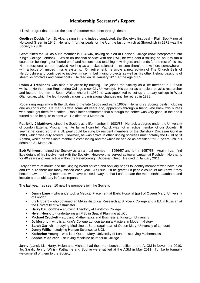# **Membership Secretary's Report**

It is with regret that I report the loss of 4 former members through death.

**Geoffrey Dodds** from St Albans rang in, and indeed conducted, the Society's first peal – Plain Bob Minor at Norwood Green in 1946. He rang 4 further peals for the UL, the last of which at Shoreditch in 1971 was the Society's 250th.

Geoff joined the UL as a life member in 1945/46, having studied at Chelsea College (now incorporated into King's College London). Whilst on national service with the RAF, he was paid a shilling an hour to run a course on bellringing for "bored erks" and he continued teaching new ringers and bands for the rest of his life. His professional career involved working as a rocket scientist – I'm sure there's a joke here somewhere – with a focus on guided missile systems. On retirement, he wrote a new edition of The Church Bells of Hertfordshire and continued to involve himself in bellringing projects as well as his other lifelong passions of steam locomotives and canal boats. He died on 31 January 2011 at the age of 85.

**Robin J Trebilcock** was also a physicist by training. He joined the Society as a life member in 1957/58 whilst at Northampton Engineering College (now City University). His career as a nuclear physics researcher and lecturer led him to South Wales where in 1982 he was appointed to set up a tertiary college in West Glamorgan, which he led through various organisational changes until he retired in 1998.

Robin rang regularly with the UL during the late 1950s and early 1960s. He rang 23 Society peals including one as conductor. He met his wife some 48 years ago, apparently through a friend who knew two nurses who could get them free coffee. Robin later commented that although the coffee was very good, in the end it turned out to be quite expensive. He died on 4 March 2011.

**Patrick L J Matthews** joined the Society as a life member in 1982/83. He took a degree under the University of London External Programme. As far as I can tell, Patrick was not an active member of our Society. It seems he joined so that a UL peal could be rung by resident members of the Salisbury Diocesan Guild in 1983, which was duly scored. However, he was active in other ringing societies most notably the Guild of St Agatha, which he was instrumental in establishing and for which he served as president for 25 years until his death on 31 March 2011.

**Bob Whitworth** joined the Society as an annual member in 1956/57 and left in 1957/58. Again, I can find little details of his involvement with the Society. However, he served as tower captain at Rushden, Northants for 40 years and was active within the Peterborough Diocesan Guild. He died in January 2011.

I rely on word of mouth and the Ringing World notices and obituary pages to identify members who have died and I'm sure there are many missed each year. As usual, I'd be grateful if people could let me know if they become aware of any members who have passed away so that I can update the membership database and include a brief obituary in future reports.

The last year has seen 10 new life members join the Society:

- **Jenny Lane**  who undertook a Medical Placement at Barts Hospital (part of Queen Mary, University of London)
- **Liz Hibbert** who obtained an MA in Historical Research at Birkbeck College and a BA in Russian at the University of Westminster
- **Harry Baulcombe** studying Theology at Heythrop College
- **Helen Herriott** undertaking an MSc in Spatial Planning at UCL
- **Michael Crockett** studying Mathematics and Business at Kingston University
- **Jo Murphy** who is at King's College London taking a Masters in Modern History
- **Sarah Garlick** studying Medicine at Barts (again part of Queen Mary, University of London)
- **Jenny Willis**  studying Human Sciences at UCL
- **Katharine Young**  who is at Queen Mary, University of London studying Mathematics
- **Sophie Middleton**  studying Medicine at Imperial College.

Jenny (Lane), Liz, Harry, Helen and Michael had their membership ratified at the AuGM in November 2010. Jo, Sarah, Jenny (Willis), Katharine and Sophie were ratified at the AGM in May 2011. I'd like to formally welcome all of them to the Society.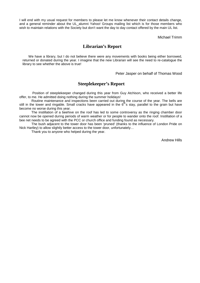I will end with my usual request for members to please let me know whenever their contact details change, and a general reminder about the UL\_alumni Yahoo! Groups mailing list which is for those members who wish to maintain relations with the Society but don't want the day to day contact offered by the main UL list.

Michael Trimm

# **Librarian's Report**

We have a library, but I do not believe there were any movements with books being either borrowed, returned or donated during the year. I imagine that the new Librarian will see the need to re-catalogue the library to see whether the above is true!

Peter Jasper on behalf of Thomas Wood

# **Steeplekeeper's Report**

 Position of steeplekeeper changed during this year from Guy Atchison, who received a better life offer, to me. He admitted doing nothing during the summer holidays!

Routine maintenance and inspections been carried out during the course of the year. The bells are still in the tower and ringable. Small cracks have appeared in the  $6<sup>th</sup>$ s stay, parallel to the grain but have become no worse during this year.

The instillation of a beehive on the roof has led to some controversy as the ringing chamber door cannot now be opened during periods of warm weather or for people to wander onto the roof. Instillation of a bee net needs to be agreed with the PCC or church office and funding found as necessary.

The bush adjacent to the tower door has been 'pruned' (thanks to the influence of London Pride on Nick Hartley) to allow slightly better access to the tower door, unfortunately…

Thank you to anyone who helped during the year.

Andrew Hills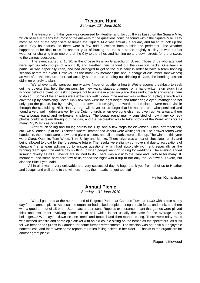### **Treasure Hunt**

Saturday,  $12^{th}$  June 2010

The treasure hunt this year was organised by Heather and Jacqui. It was based on the Square Mile, which basically means that most of the answers to the questions could be found within the Square Mile. I say most, as one of the organisers assumed the Square Mile was actually a square, and failed to look up the actual City boundaries, so there were a few odd questions from outside the perimeter. The weather happened to be kind to us for another year of hunting, as the sun shone brightly all day. It was perfect weather for charging from one end of the City to the other, and hunting up and down streets for the answers to the various questions.

The event started at 10.30, in the Crosse Keys on Gracechurch Street. Those of us who attended were split up into groups of around 6, and Heather then handed out the question packs. One team in particular was especially keen, and had arranged to get to the pub early in order to have a team bonding session before the event. However, as the most key member (the one in charge of cucumber sandwiches) arrived after the treasure hunt had actually started, due to being out drinking till 7am, the bonding session didn't go entirely to plan.

We all eventually went our merry ways (most of us after a hearty Wetherspoons breakfast) to seek out the objects that held the answers, be they walls, statues, plaques, or a hand-written sign stuck in a window behind a plant pot (asking people not to urinate in a certain place does undoubtedly encourage them to do so!). Some of the answers were extremely well hidden. One answer was written on a plaque which was covered up by scaffolding. Some lucky few who were the right height and rather eagle eyed, managed to not only spot the plaque, but by moving up and down and swaying, the words on the plaque were made visible through the scaffolding. Nick Hartley's ego will never let us forget that he was the one who persisted and found a very well hidden answer by the Dutch church, when everyone else had given up. As always, there was a bonus round and tie-breaker challenge. The bonus round mainly consisted of how many comedy photos could be taken throughout the day, and the tie-breaker was to take photos of the Ward signs for as many City Wards as possible.

After much to-ing and fro-ing across the City, and a few stops for elevenses, lunch, afternoon tea, etc., we all ended up at the Blackfriar, where Heather and Jacqui were waiting for us. The answer forms were handed in, the photos were shown and given a score, and all the marks were tallied up. The winners this year were Clara, Quentin, Tom Wood, Tom Sibley and Mariko. There prize was a box of chocolates each, and being allowed to gloat for the foreseeable future. The results were slightly controversial due to accusations of cheating (i.e. a team splitting up to answer questions) which had absolutely no merit, especially as the winning team spent the entire day splitting up when people went off to ring for weddings. The evening ended in much revelry as all UL events are inclined to do. There was a visit to the Hare and Tortoise for many UL members, and some hard-core few of us ended the night with a trip to not only the Southwark Tavern, but also the Blue-Eyed Maid.

All in all it was a very enjoyable and very successful day. A huge thank you from all of us to Heather and Jacqui, and well done to the winners – may their heads not get too big!

Hellen Richardson

# **Annual Picnic**

Sunday, 13<sup>th</sup> June 2010

We all gathered at the northern end of Regents Park near Camden Town at 11.30 with a nice sunny day for the annual picnic. As usual the organiser had asked people to bring certain foods and drink, and there was a good turnout of 15 or so ULers past and present! Rupert's exuberance meant that games were played thick and fast, most involving some sort of ball, which is not usually the case for the average sporty bellringer....! We played "down on one knee" and football and then started eating. There were relay races with kitchen utensils and some epic cricket with an old couple sitting on the bench as the spectators. As dusk fell we headed to Quinns in Camden for some further refreshments. The session was not epic but enjoyable nonetheless, and there were some reports of Hellen falling asleep in her cider.... Thanks to the organisers for another great picnic!

Rupert Littlewood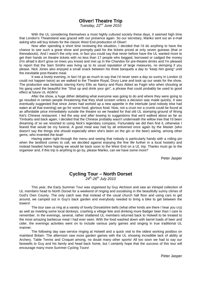# **Oliver! Theatre Trip**

Tuesday, 22<sup>nd</sup> June 2010

With the UL considering themselves a most highly cultured society these days, it seemed high time that London's Theatreland was graced with our presence again. So our secretary, Mariko sent out an e-mail asking who will buy tickets for the classic West End production of Oliver!

Now after spending a short time reviewing the situation, I decided that I'd do anything to have the chance to see such a great show and promptly paid for the tickets priced at only seven guineas (that or thereabouts). And I wasn't the only one, in fact you could say that never before have the UL wanted more to get their hands on theatre tickets with no less than 17 people who begged, borrowed or cadged the money (I'm afraid it don't grow on trees you know) and met up in the Chandos for pre-theatre drinks and I'm pleased to report that the Sam Smiths was living up to its usual reputation of large measures, no skimping if you please. Nick Jones also enjoyed a small snack between his three banquets a day to "keep him going" until the inevitable post theatre meal.

It was a lovely evening, in fact I'd go as much to say that I'd never seen a day so sunny in London (it could not happen twice) as we walked to the Theatre Royal, Drury Lane and took up our seats for the show. The production was fantastic starring Kerry Ellis as Nancy and Russ Abbot as Fagin who when shouting at his gang used the beautiful line "Shut up and drink your gin", a phrase that could probably be used to good effect at future UL AGM's!

After the show, a huge dither debating what everyone was going to do and where they were going to go resulted in certain people threatening that they shall scream unless a decision was made quickly. It was eventually suggested that since Jones had worked up a new appetite in the interlude (and nobody else had eaten at all that evening) we go for some food, glorious food. Now, not a crust nor a crumb could be found at an affordable price immediately outside the theatre so we headed for that old UL stomping ground of Wong Kei's Chinese restaurant. I led the way and after bowing to suggestions that we'd walked about as far as Timbuktu and back again, I decided that the Chinese probably wasn't underneath the willow tree that I'd been dreaming of so we resorted to using Nick's legendary compass. Fortunately we did then find it, otherwise I feared that would be my funeral. A good meal was had by all enlivened once again by the Master (who doesn't say the things she should especially when she's been on the gin or the beer) asking, among other gems, who invented the boat!

Having eaten right through the menu and seeing that nobody is particularly handy with a rolling pin when the landlord comes to call, we decided against enjoying the fine life further in a local hostelry and instead headed home hoping we would be back soon to the West End on a UL trip. Thanks must go to the organiser and, if this trip is anything to go by, please Mariko, can we have some more?

Peter Jasper

# **Cycling Tour – North Dorset**

 $24^{th}$ -26<sup>th</sup> July 2010

This year, the Early Summer Tour was organised by Guy Atchison and saw an intrepid collection of UL members head to North Dorset for a weekend of ringing and socialising in the beautifully sunny climes of God's Own County. The only catch was that instead of the usual church hall floor and using cars to get around, we camped out in Guy's back garden and everybody needed to bring a bike to get between the towers!

The tour saw us ring at a variety of lovely Dorsetshire bells (what other kinds are there I hear you cry) as well as meeting some local donkeys, crashing a village fete and drinking more Badger beer than I care to remember. In the evenings, several, rather shattered UL members returned back to Holwell to be treated to the most amazing barbecue meal I had ever seen. With the food washed down with barrel loads of beer and cider, the evenings activities went on to include various party games and singing in true traditional UL manner.

The following day saw service ringing at Holwell and a quick visit to the oldest working postbox on mainland Britain. The afternoon saw more garden games with the UL showing incredible lack of ability at Archery, Table Tennis and Croquet among, no doubt many other sports! All too soon we had to say our farewells to Guy and his family and head back home, but I certainly hope that the success of this tour will encourage many more Summer Cycling Tours!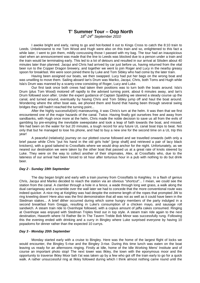# **T' Summer Tour – Oop North**

 $18^{th}$ -24<sup>th</sup> September 2010

I awoke bright and early, raring to go and hot-footed it out to Kings Cross to catch the 8:10 train to Leeds. Unbeknownst to me Tom Wood and Hugh were also on this train and so, enlightened to this fact a while later, I went to join them, mildly concussing those I passed with my bag. The tour had an inauspicious start when an announcement was made that the line to Leeds was blocked due to a person under a train and the train would be terminating early. This led to a lot of detours and resulted in our arrival at Silsden about 40 minutes later than planned. Jacqui and Chris had arrived by car just before us, having returned from the vital beer run to the Copper Dragon brewery, and together we went to join Roger and Lucy in the nearby greasy spoon for breakfast. We were soon joined there by Luke and Tom Sibley who had come by the later train.

Having been assigned our boats, we then swapped. Lucy had put her bags on the wrong boat and was unwilling to move them. Sailing aboard Ian's Drum was Mariko, Jacqui, Chris, both Toms and Hugh while Isla's Drum was manned by a scanty crew consisting of Roger, Lucy and Luke.

Our first task once both crews had taken their positions was to turn both the boats around. Isla's Drum (plus Tom Wood) motored off rapidly to the advised turning point, about 6 minutes away, and Ian's Drum followed soon after. Under the expert guidance of Captain Spalding we steered a steady course up the canal, and turned around, eventually by having Chris and Tom Sibley jump off and haul the boat around. Wondering where the other boat was, we phoned them and found that having been through several swing bridges they still hadn't reached the turning point...

After the highly successful(ish) manoeuvring, it was Chris's turn at the helm. It was then that we first encountered one of the major hazards of the canal. Twice. Having finally got ourselves free and away from sandbanks, with Hugh once more at the helm, Chris made the noble decision to save us all from the evils of gambling by pre-empting the inevitable sweepstake and took a leap of faith towards the boat, and missed. We had been on the water for but 20 minutes, a tough record for any future UL canal boat trips to beat. Not only that but he managed to lose his phone, and had to buy a new one for the second time on a UL trip this year!

A peaceful (relatively) journey on our plotted course followed and we travelled onwards (with only a brief pause while Chris "put his hand in the old girls hole" [prop shaft] and retrieved a pair of lacy black knickers), with a good tailwind to Crossflatts where we would drop anchor for the night. Unfortunately, as we neared our destination we were taken by the other boat that passed us at a great rate of knots steered by Luke. They were on the way to collect another of their shipmates, Alex, at Crossflatts who, due to the lateness of our arrival had been forced to sit hour after torturous hour in a pub with nothing to do but drink beer.

#### **Day 2 - Sunday 19th September**

The day began bright and early with a train journey from Crossflatts to Keighley. In a flash of genius Chris, Jacqui and Mariko decided to reach the station via an obvious "shortcut"... I mean, we could see the station from the canal. A clamber through a hole in a fence, a wade through long wet grass, a walk along the dual carriageway and a scramble over the wall later we had to concede that the more conventional route was indeed quicker. A nice ring at Keighley was had despite the extreme length of the ropes that prompted JW to ring kneeling down! Here also was the first demonstration that all was not as well as it could have been in the Stedman stakes... A brief dither occurred during which some hungry members of the party indulged in a second breakfast from Greggs, resulting in Luke's consumption of a chicken mayo, and sausage roll sandwich. A steam train ride to Oxenhope followed, with a copius amount of jaffa cakes consumed. Ringing at Oxenhope was enjoyed with Stedman Triples fired out in top style. A steam train ride again to the next destination, Haworth where I'd Rather Be In The Tavern Treble Bob Minor was successfully rung. Following this the evening ended with drinking and a curry in Bingley where Luke surprised everyone by having 10 popadoms for dinner rather than the expected 10 currys.

#### **Day 3 - Monday 20th September**

Monday started early with a cruise to Bingley. Here was the home of the largest flight of locks we would encounter, the Bingley 5-rise and the Bingley 3-rise. During this time lunch was eaten on the boat leaving us ready for an afternoons ringing. Firstly at Idle, home of the Idle Working Mens' Institute and of course an important photo stop! The next tower was Ilkley, the town with the eponymous moor and the opportunity to traverse Ilkley Moor bah t'at was taken up by a few who got off the train early to go for a quick walk. A rather unsuccessful ring at Ilkley followed during which I think almost nothing came round until the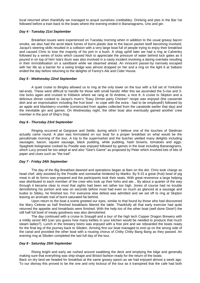local returned when thankfully we managed to acquit ourselves creditabley. Drinking and pies in the Bar t'at followed before a train back to the boats where the evening ended in Bananagrams, Uno and gin.

#### **Day 4 - Tuesday 21st September**

Breakfast issues were experienced on Tuesday morning when in addition to the usual greasy bacon smoke, we also had the acrid black fumes of burnt plastic due to the bacon packet itself becoming involved. Jacqui's steering skills resulted in a collision with a very large boat full of people trying to enjoy their breakfast and caused Chris to lose the majority of his pint in a bush. A shag uphill later we had a ring at Calverley followed by a series of locks which caused Nick to appreciate the pressure of water behind lock gates as it poured in on top of him! Isla's drum was also involved in a nasty incident involving a daring overtake resulting in their immobilisation on a sandbank while we steamed ahead. An innocent passer-by narrowly escaped with her life as a barrier for a swing bridge was almost dropped on her and a ring on the light 6 at Saltaire ended the day before returning to the delights of Fanny's Ale and Cider House.

#### **Day 5 - Wednesday 22nd September**

A quiet cruise to Bingley allowed us to ring at the only tower on the tour with a full set of Yorkshire tail-ends. These were difficult to handle for those with small hands! After this we ascended the 5-rise and 3 rise locks again and cruised to Kildwick where we rang at St Andrew, a nice 8. A cruise to Skipton and a delicious dinner cooked to Jacqui's mum's "Easy Dinner party Chicken" recipe was enjoyed (the casserole dish and an improvisation including the fruit bowl - to cope with the extra - had to be employed!) followed by an apple and blackberry crumble (constructed from apples collected from the canalside earlier that day) and the inevitable gin and games. On Wednesday night, the other boat also eventually gained another crew member in the post of Ship's Dog.

#### **Day 6 - Thursday 23rd September**

Ringing occurred at Gargrave and Settle, during which I believe one of the touches of Stedman actually came round. A plan was formulated on our boat for a proper breakfast on what would be the penultimate morning of the tour. A trip to the supermarket and the butcher yielded many delights including sausages, bacon, square sausage, black pudding, white pudding, hash browns, tomatoes and eggs. Spaghetti bolognaise cooked by Poodle was enjoyed followed by games in the boat including Bananagrams, which Lucy proved far too adept at and also "Gee's Game" as proposed by Peter which involved lots of bits of paper and clues such as "the trad".

#### **Day 7 - Friday 24th September**

The day of the Big Breakfast dawned and operations began at 8am on the dot. Chris took charge as head chef, ably assisted by the Poodle and somewhat hindered by Mariko. By 9:15 a great (fruit) bowl of pig meat in all its forms was prepared and the participants took their seats. With great reverence a large helping was distributed to each member of the crew who took up their forks and ate... By about a quarter of the way through it became clear to most that sights had been set rather too high. Jones of course had no trouble demolishing his portion and was on seconds before most had even so much as glanced at a sausage and kudos to Sibley, he finished too. For everyone else defeat was admitted and we set off to ring at Skipton leaving an aromatic trail of burnt saturated fat behind.

Upon return to the boat a scene greeted our eyes, similar to that found by those who had discovered the Mary Celeste as half finished breakfasts littered the table. Thankfully all that early exercise had quite returned the appetite and breakfasts were finished. With the help too of the other boat (well done Dixie!!) the still half full bowl of meaty goodness was also demolished.

The day continued with a cruise to Snaygill and a tour of the high tech Copper Dragon Brewery with a mildly sexist MD (can you guess how many kettles in your kitchen would be needed to produce that much steam ladies?). Lunch in the brewery bistro was enjoyed with a free pint and we reboarded the boats ready for the final leg of the journey back to Silsden. Arriving first our boat managed to end up on the wrong side of the canal and provided the other boat with a rousing chorus of Chitty Chitty Bang Bang as they passed. An evening ring at Silsden completed the last full day of the tour.

#### **Day 8 - Saturday 25th September**

Rising bright and early we rushed around swabbing the deck and emptying the bilge and generally making sure that everything was ship-shape and Bristol fashion ready for the return of the boats. Back on dry land we headed for breakfast at the same greasy spoon as we had enjoyed almost a week ago.

To our dismay this proved to be the one and only lockout of the tour as it transpired that the cafe had both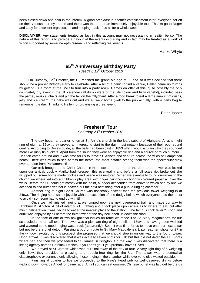been closed down and sold in the interim. A good breakfast in another establishment later, everyone set off on their various journeys home and there was the end of an immensely enjoyable tour. Thanks go to Roger and Lucy for excellent organisation and keeping track of us all for a whole week!

**DISCLAIMER:** Any statements treated as fact in this account may not necessarily, in reality, be so. The nature of this report is to provide a flavour of the events occurring and in fact may be treated as a work of fiction supported by some in-depth research and reflecting real events.

Mariko Whyte

# **65th Anniversary Birthday Party**

Tuesday,  $12^{th}$  October 2010

On Tuesday, 12<sup>th</sup> October, the UL reached the grand old age of 65 and so it was decided that there should be a proper Birthday Party to celebrate. After a bit of a panic to find a venue, Hellen came up trumps by getting us a room at the RVC to turn into a party room. Games on offer at this, quite possibly the only completely dry event in the UL calendar (all drinks were of the vile colour and fizzy variety!), included pass the parcel, musical chairs and pin the tail on the Ollyphant. After a food break to eat a large amount of crisps, jelly and ice cream, the cake was cut and we all went home (well to the pub actually) with a party bag to remember the day. Thanks to Hellen for organising a great event!

Peter Jasper

# **Freshers' Tour**

Saturday 23<sup>rd</sup> October 2010

The day began at quarter to ten at St. Anne's church in the leafy suburb of Highgate. A rather light ring of eight at 12cwt they proved an interesting start to the day, most notably because of their poor sound quality. According to Dove's guide, all the bells had been cast in 1853 which would explain why they sounded more like rusty tin buckets. Apart from the sound they were an enjoyable ring and a source of much humour. Half ten came around and it was time for us to leave St. Anne's and venture across the wilds of Hampstead heath! There was much to see across the heath, the most notable among them was the spectacular view over London from Parliament Hill.

Our trek brought us to Christ Church in Hampstead, to our horror the door to the tower was locked upon our arrival. Luckily Mariko had foreseen this eventuality and before a full scale riot broke out she whipped out some home made cookies and peace was restored. When we eventually found ourselves in the church we where led into a children's play area with finger paintings on brightly coloured paper all over the walls. Before the UL could get messy with the paint, a ladder descended from above to which one by one we acceded to find ourselves not in heaven but the next best thing after a pub: a ringing chamber!

Another ring of eight Christ Church was noticeably heavier than the previous tower weighing in at 24cwt. The ringing here was enjoyable with the exception of one dodgy bell to which everyone tried their best to avoid - someone had to end up with it!

Once we had finished ringing at we jumped upon the next overground train and made our way to Highbury & Islington. A bit of infamous UL faffing about took place upon arrive as to where to eat, but after much deliberation it was decide to eat at the nearest place to the station: 'The famous cock tavern'. Food and drink was enjoyed by all before the third tower of the day beckoned us down the road.

In the face of one or two navigational issues on route we made it to St. Mary Magdalene's for our scheduled time of half two. The tower was a pleasant ring of eight bells at 17cwt and having been well fed and watered some good ringing was struck (apparently)! Soon it was time for us to move onto our next tower but not before a brief detour. Passing a pub on route to St. Mary Magdalene's Lizzy read ten shots for £7 in the window, excited by this prospect she proposed that we should stop in on our way to the fourth tower. Upon arrival, it was discovered that it was actually seven shots for £10 but this did not deter the UL. Shots where had and then we proceeded to St. James' in Islington. On the way it was discovered that there is a letting agency named Hotblack Desiato! If you don't get it you probably haven't lived!

We arrived at St. James' which was our final tower of the day at four. A very light ring of 6 weighing only 6cwt they provided a pleasing and trouble-free ring for the UL. The tower was a somewhat claustrophobic experience only allowing those ringing in the chamber while everyone else waited outside.

Finishing at quarter to five we proceeded to the King's Head pub for well-deserved drinks before walking down towards Angel for dinner at 8. An all you can eat gourmet Chinese buffet was laid out before us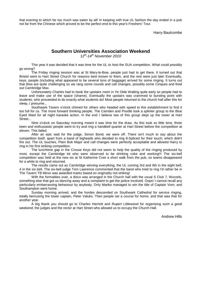that evening to which far too much was eaten by all! In keeping with true UL fashion the day ended in a pub not far from the Chinese which proved to be the perfect end to this year's Freshers' Tour.

Harry Baulcombe

# **Southern Universities Association Weekend**

 $12^{th}$ -14<sup>th</sup> November 2010

This year it was decided that it was time for the UL to host the SUA competition. What could possibly go wrong?

The Friday ringing session was at St Mary-le-Bow, people just had to get there. It turned out that Bristol went to Hart Street Church for reasons best known to them, and the rest were just late! Eventually, keys, people (including what appeared to be several tons of baggage) arrived for some ringing. It turns out that Bow are quite challenging so we rang some rounds and call changes, possibly some Cinques and fired out Cambridge Max.

Unfortunately Charles had to book the upstairs room in Ye Olde Watling quite early so people had to leave and make use of the space (shame). Eventually the upstairs was crammed to bursting point with students, who proceeded to do exactly what students do! Most people returned to the church hall after this for sleep, I presume...

Southwark Tavern o'clock chimed for others who headed with speed to this establishment to find it too full for us. The more forward thinking people, The Camden and Poodle took a splinter group to the Blue Eyed Maid for all night karaoke action. In the end I believe two of this group slept up the tower at Hart Street...

Nine o'clock on Saturday morning meant it was time for the draw. As this took so little time, three keen and enthusiastic people went to try and ring a handbell quarter at Hart Street before the competition at eleven. This failed.

After an epic wait for the judge, Simon Bond, we were off. There isn't much to say about the competition itself, apart from a band of bigheads who decided to ring 8-Spliced for their touch, which didn't fire out. The UL touches, Plain Bob Major and call changes were perfectly acceptable and allowed Harry to ring in his first striking competition.

The lunchtime gap in the Crosse Keys did not seem to help the quality of the ringing produced by most, except the Cambridge lot who were observed to be drinking coke and working!!! The six-bell competition was held at the new six at St Katherine Cree a short walk from the pub, so teams disappeared for a while to ring and returned.

The results came out as Cambridge winning everything, the UL coming 3rd and 6th in the eight bell; 4 in the six bell. The six-bell judge Tom Lawrence commented that the band who tried to ring I'd rather be in The Tavern TB Minor was awarded marks based on originality not striking!

With the formalities over, a disco was arranged in the Church hall with the usual S Club 7, Wurzels, something else that got us dancing away and a complaint to get the police involved. Oops! I cannot recall any particularly embarrassing behaviour by anybody. Only Mariko managed to win the title of Captain Vom; and Southampton went home.

Sunday morning arrived, and the hordes descended on Southwark Cathedral for service ringing, totally bemusing the tower captain, Peter Valuks. Then people set a course for home, and that was that for another year.

A big thank you should go to Charles Herriott and Rupert Littlewood for organising such a good weekend; the judges and the rector at Hart Street who allowed us to occupy the Church Hall.

Andrew Hills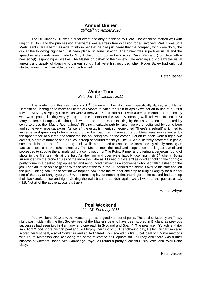# **Annual Dinner**

26<sup>th</sup>-28<sup>th</sup> November 2010

The UL Dinner 2010 was a great event and ably organised by Clara. The weekend started well with ringing at Bow and the pub session afterwards was a stress free occasion for all involved. Well it was until Martin sent Clara a text message to inform her that he had just heard that the company who were doing the dinner the following night had just been placed in administration! The dinner was superb as usual and the speeches afterwards were made by Guy Atchison to propose the visitors, David Maynard (complete with a new song!) responding as well as The Master on behalf of the Society. The evening's disco saw the usual amount and quality of dancing to various songs that were first recorded when Roger Bailey had only just started learning his inimitable dancing technique!

Peter Jasper

#### **Winter Tour**  Saturday, 15<sup>th</sup> January 2011

The winter tour this year was on  $15<sup>th</sup>$  January to the Northwest, specifically Apsley and Hemel Hempstead. Managing to meet at Euston at 8:45am to catch the train to Apsley we set off to ring at our first tower – St Mary's, Apsley End which were a heavyish 6 that had a link with a certain member of the society who was spotted looking very young in some photos on the wall!. A loooong walk followed to ring at St Mary's, Hemel Hempstead although it was made rather more exciting by the risky strategies adopted by some to cross the "Magic Roundabout". Finding a suitable pub for lunch we were revitalised by some beer and some very large sausages. As we left the establishment, someone cried "There's a zebra!!" which led to some general grumbling to hurry up and cross the road then. However the doubters were soon silenced by the appearance of a large and fearsome lion bounding around the corner! Hot on its heels were a tiger, two camels, a herd of muntjac and a raucous troop of squirrel monkeys. The UL were instantly scattered in panic, some back into the pub for a strong drink, while others tried to escape the stampede by simply running as fast as possible in the other direction. The Master took the lead and leapt upon the largest camel and proceeded to subdue the animals using a combination of The Pointy Finger and offering a generous round of shots to the first animals at the bar. As the lion and tiger were happily downing their 5<sup>th</sup> cherry Sourz surrounded by the prone figures of the monkeys (who as it turned out weren't as good at holding their drink) a portly figure in a peaked cap appeared and announced himself as a zookeeper who had fallen asleep on the job. Thankful to be able to get on with the rest of the tour, the UL handed the animals over to his care and left the pub. Getting back to the station we hopped back onto the train for one stop to King's Langley for our final ring of the day at Langleybury, a 6 with interesting layout meaning that the ringer of the second had to keep their backstrokes nice and tight. Getting the train back to London again, we all went to the pub as usual. (N.B. Not all of the above account is true.)

Mariko Whyte

# **Peal Weekend**

#### $11^{th}$ -13<sup>th</sup> February 2011

Peal weekend 2012 saw the Master organise a good number of peals. The peal at Stepney on Friday night was incidentally the first Society peal of the Master's year to have been scored in England as previous successes had seen two in Germany, and one each in Scotland and Spain!). The peal itself, Yorkshire Major saw Tom Wood score his first peal and Jo Murphy, her first on 8. The following day, Hellen Richardson also scored her first peal, also of Yorkshire and at Hart Street. Tom scored his first 6 bell peal of 4 Minor methods with Laura Matheson also achieving the same milestone at Clapham on Saturday and there was further success at Clement Danes with Cambridge Royal. All round a pretty successful Peal Weekend. Well Done Lizzy.

Peter Jasper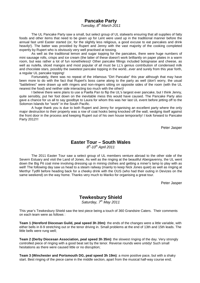# **Pancake Party**

Tuesday,  $8<sup>th</sup>$  March 2011

The UL Pancake Party saw a small, but select group of UL stalwarts ensuring that all supplies of fatty foods and other items that need to be given up for Lent were used up in the traditional manner before the annual fast until Easter started (or, for the slightly less religious, a good excuse to eat pancakes and drink heavily!). The batter was provided by Rupert and Jenny with the vast majority of the cooking completed expertly by Rupert who is obviously very well practised at tossing.

As well as the traditional lemon and sugar topping for the pancakes, there were huge numbers of mini sausage rolls, crisps and ice cream (the latter of these doesn't work brilliantly on paper plates in a warm room, but was rather a lot of fun nonetheless)! Other pancake fillings included bolognaise and cheese, as well as nutella, sliced mangos and most popular of all must be LL's genius contribution of condensed milk and chocolate stars, possibly the sweetest pancake topping in the world...ever and surely from this year forth, a regular UL pancake topping!

Fortunately, there was no repeat of the infamous "Dirt Pancake" this year although that may have been more to do with the fact that Rupert's boss came along to the party as well (don't worry, the usual "battlelines" were drawn up with ringers and non-ringers sitting on opposite sides of the room (with the UL nearest the food) and neither side interacting too much with the other)!

I believe there were plans to use a Paella Pan to flip the UL's largest ever pancake, but I think Jenny, quite sensibly, put her foot down on the inevitable mess this would have caused. The Pancake Party also gave a chance for us all to say goodbye to Laura for whom this was her last UL event before jetting off to the Solomon Islands for "work" in the South Pacific.

A huge thank you is due to both Rupert and Jenny for organising an excellent party where the only major destruction to their property was a row of coat hooks being knocked off the wall, wedging itself against the front door in the process and keeping Rupert out of his own house temporarily! I look forward to Pancake Party 2012!!!

Peter Jasper

# **Easter Tour – South Wales**

 $8<sup>th</sup>$ -10<sup>th</sup> April 2011

The 2011 Easter Tour saw a select group of UL members venture abroad to the other side of the Severn Estuary and visit the Land of Jones. As well as the ringing at the beautiful Abergavenny, the UL went down the Big Pit coal mine involving dressing up in mining clothes and getting a miner's lamp to play with as well! The following day saw us head to a steam railway (mainly to keep Nick Jones quiet) as well as ringing at Merthyr Tydfil before heading back for a cheeky drink with the OUS (who had their outing in Devizes on the same weekend) on the way home. Thanks very much to Mariko for organising a great tour.

Peter Jasper

# **Tewkesbury Shield**

Saturday,  $7<sup>th</sup>$  May 2011

This year's Tewkesbury Shield saw the test piece being a touch of 360 Grandsire Caters. Their comments on each team were as follows :

**Team 1 (Hereford Diocesan Guild, peal speed 3h 20m)**: the ends of the changes were a little variable, with either bells in 8-9 stretching out or the tenor driving in. Small problems at the end of 13th and 15th leads. The little bells were rung well;

**Team 2 (Derby Diocesan Association, peal speed 3h 35m)**: the slowest ringing of the day. Very strongly controlled piece of ringing with a good beat set by the tenor. Reverse rounds were untidy! Such small hesitations as there were caused little or no disruption;

**Team 3 (Winchester and Portsmouth DG, peal speed 3h 19m)**: a more positive pace, but with a shaky start. Best ringing of the piece came in the middle section, apart from the musical half-way course end;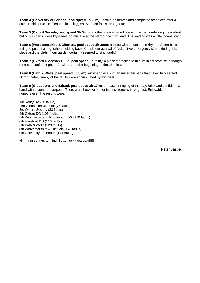**Team 4 (University of London, peal speed 3h 23m)**: recovered nerves and completed test piece after a catastrophic practice. Tenor a little sluggish. Accrued faults throughout;

**Team 5 (Oxford Society, peal speed 3h 34m)**: another steady paced piece. Like the curate's egg, excellent but only in parts. Possibly a method mistake at the start of the 16th lead. The leading was a little inconsistent;

**Team 6 (Worcestershire & Districts, peal speed 3h 30m)**: a piece with an uncertain rhythm. Some bells trying to push it along, others holding back. Consistent accrual of faults. Two emergency sirens during this piece and the birds in our garden certainly seemed to sing loudly!

**Team 7 (Oxford Diocesan Guild, peal speed 3h 25m)**: a piece that failed to fulfil its initial promise, although rung at a confident pace. Small error at the beginning of the 15th lead;

**Team 8 (Bath & Wells, peal speed 3h 32m)**: another piece with an uncertain pace that never fully settled. Unfortunately, many of the faults were accumulated by two bells;

**Team 9 (Gloucester and Bristol, peal speed 3h 17m)**: the fastest ringing of the day. Brisk and confident, a band with a common purpose. There were however minor inconsistencies throughout. Enjoyable nonetheless. The results were:

1st Derby DA (66 faults) 2nd Gloucester &Bristol (76 faults) 3rd Oxford Society (88 faults) 4th Oxford DG (103 faults) 5th Winchester and Portsmouth DG (110 faults) 6th Hereford DG (116 faults) 7th Bath & Wells (129 faults) 8th Worcestershire & Districts (148 faults) 9th University of London (174 faults)

Hmmmm springs to mind, Better luck next year!!!!!

Peter Jasper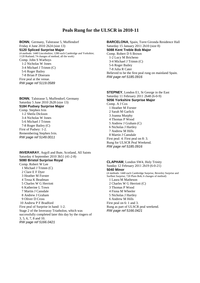#### **Peals Rung for the ULSCR in 2010-11**

**BONN**, Germany, Talstrasse 5, Muffendorf Friday 4 June 2010 2h24 (size 13) **5120 Spliced Surprise Major**  (4 methods: 1440 Lincolnshire; 1280 each Cambridge and Yorkshire; 1120 Rutland; 74 changes of method, all the work) Comp. John S Warboys 1-2 Nicholas W Jones 3-4 Michael J Trimm (C) 5-6 Roger Bailey 7-8 Brian P Diserans First peal at the venue. RW page ref 5119.0589

**BONN**, Talstrasse 5, Muffendorf, Germany Saturday 5 June 2010 2h28 (size 13) **5184 Pudsey Surprise Major**  Comp. Stephen Ivin 1-2 Sheila Dickson 3-4 Nicholas W Jones 5-6 Michael J Trimm 7-8 Roger Bailey (C) First of Pudsey: 1-2. Remembering Stephen Ivin. RW page ref 5149.0011

**INVERARAY**, Argyll and Bute, Scotland, All Saints Saturday 4 September 2010 3h51 (41-2-8) **5080 Bristol Surprise Royal**  Comp. Robert W Lee

1 Michael J Trimm (C)

2 Clare E F Dyer 3 Heather M Forster 4 Tessa K Beadman 5 Charles W G Herriott 6 Katherine L Town 7 Martin J Cansdale 8 Andrew J Graham 9 Oliver D Cross 10 Andrew P F Bradford First peal of Surprise in hand: 1-2. Stage 2 of the Inveraray Triatholon, which was successfully completed later this day by the ringers of 3, 5, 6, 7, 8 and 10. RW page ref 5166.0421

**BARCELONA**, Spain, Torre Gironda Residence Hall Saturday 15 January 2011 2h10 (size 8) **5088 Kent Treble Bob Major**  Comp. Robert D S Brown 1-2 Lucy M Bricheno 3-4 Michael J Trimm (C) 5-6 Roger Bailey 7-8 Julia R Cater Believed to be the first peal rung on mainland Spain. RW page ref 5185.0916

**STEPNEY**, London E1, St George in the East Saturday 11 February 2011 2h48 (6-0-9) **5056 Yorkshire Surprise Major**  Comp. A J Cox 1 Heather M Forster 2 Sarah M Garlick 3 Joanna Murphy 4 Thomas P Wood 5 Andrew J Graham (C) 6 Nicholas J Hartley 7 Andrew M Hills 8 Martin J Cansdale First peal: 4. First peal on 8: 3. Rung for ULSCR Peal Weekend. RW page ref 5185.0916

**CLAPHAM**, London SW4, Holy Trinity Sunday 12 February 2011 2h19 (6-0-21) **5040 Minor**  (4 methods: 1440 each Cambridge Surprise, Beverley Surprise and Surfleet Surprise; 720 Plain Bob; 6 changes of method) 1 Laura M Matheson

- 2 Charles W G Herriott (C)
- 3 Thomas P Wood 4 Fiona M Wheeler
- 
- 5 Nicholas J Hartley 6 Andrew M Hills
- First peal on 6: 1 and 3.
- Rung as part of ULSCR peal weekend.
- RW page ref 5166.0421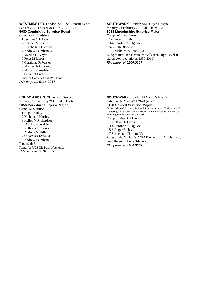**WESTMINSTER**, London WC2, St Clement Danes Saturday 12 February 2011 3h12 (21-1-23) **5080 Cambridge Surprise Royal**  Comp. G M Bradshaw 1 Jennifer C E Lane

2 Heather M Forster 3 Elizabeth L J Stokoe 4 Andrew J Graham (C) 5 Mariko H Whyte 6 Peter M Jasper 7 Geraldine R Forster 8 Michael R Crockett 9 Martin J Cansdale 10 Oliver D Cross Rung for Society Peal Weekend. RW page ref 5164.0367

**LONDON EC3**, St Olave, Hart Street Saturday 12 February 2011 2h44 (11-3-23) **5056 Yorkshire Surprise Major**  Comp. M S Bruce 1 Roger Bailey 2 Nicholas J Hartley 3 Hellen V Richardson 4 Martin J Cansdale 5 Katherine L Town 6 Andrew M Hills 7 Oliver D Cross (C) 8 Andrew J Graham First peal: 3. Rung for ULSCR Peal Weekend. RW page ref 5169.0526

**SOUTHWARK**, London SE1, Guy's Hospital Monday 21 February 2011 2h17 (size 15) **5088 Lincolnshire Surprise Major**  Comp. William Barton 1-2 Peter J Blight 3-4 Caroline M Ogilvie 5-6 Ruth Blackwell 7-8 Nicholas W Jones (C) Rung to mark the closure of Willesden High Level Jn signal box (operational 1930-2011)

RW page ref 5164.0367

**SOUTHWARK**, London SE1, Guy's Hospital Saturday 14 May 2011 2h24 (size 15) **5120 Spliced Surprise Major**  (8 methods: 896 Rutland; 704 each Lincolnshire and Yorkshire; 640 Cambridge; 576 each London, Pudsey and Superlative; 448 Bristol; 88 changes of method, all the work) Comp. Philip G K Davies 1-2 Oliver D Cross 3-4 Caroline M Ogilvie 5-6 Roger Bailey 7-8 Michael J Trimm (C) Rung on the Society's AGM Day and as a  $30<sup>th</sup>$  birthday compliment to Lucy Bricheno. RW page ref 5164.0367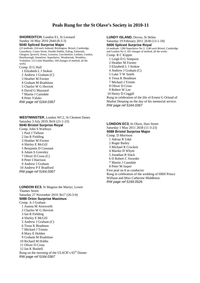# **Peals Rung for the St Olave's Society in 2010-11**

**SHOREDITCH**, London E1, St Leonard Sunday 16 May 2010 2h44 (8-3-3) **5040 Spliced Surprise Major**  (23 methods: 224 each Ashtead, Brislington, Bristol, Cambridge, Cassiobury, Coney Street, Double Dublin, Ealing, Falmouth,

Glasgow, Ipswich, Jersey, Lessness, Lincolnshire, Lindum, London, Peterborough, Stonebow, Superlative, Weatheroak, Wembley, Yorkshire; 112 Little Shambles; 160 changes of method, all the work) Comp. D G Hull

1 Elizabeth L J Stokoe 2 Andrew J Graham (C) 3 Heather M Forster 4 Graham M Bradshaw 5 Charles W G Herriott 6 David G Maynard 7 Martin J Cansdale 8 Peter Valuks RW page ref 5164.0367

**WESTMINSTER**, London WC2, St Clement Danes Saturday 3 July 2010 3h16 (21-1-23) **5040 Bristol Surprise Royal**  Comp. John S Warboys 1 Paul J Tiebout 2 Ian R Fielding 3 Heather M Forster 4 Shirley E McGill 5 Benjamin D Constant 6 Adam S Greenley 7 Oliver D Cross (C) 8 Peter I Harrison 9 Andrew J Graham 10 Andrew P F Bradford RW page ref 5164.0367

**LONDON EC3**, St Magnus the Martyr, Lower Thames Street Saturday 27 November 2010 3h17 (26-3-9) **5088 Orion Surprise Maximus**  Comp. A J Graham 1 Joanna M Ainsworth 2 Charles W G Herriott 3 Ian R Fielding 4 Shirley E McGill 5 Andrew J Graham (C) 6 Tessa K Beadman 7 Michael J Trimm 8 Mary E Holden 9 Graham M Bradshaw 10 Richard M Hobbs 11 Oliver D Cross 12 Ian K Bushell Rung on the morning of the ULSCR's  $65<sup>th</sup>$  Dinner RW page ref 5164.0367

**LUNDY ISLAND**, Devon, St Helen Saturday 19 February 2011 2h38 (13-1-18) **5000 Spliced Surprise Royal**  (4 methods: 1280 Superlative No 2; 1240 each Bristol, Cambridge and London No 3; 101 changes of method, all the work) Comp. R C Kippin 1 Leigh D G Simpson 2 Heather M Forster 3 Elizabeth L J Stokoe 4 Andrew J Graham (C) 5 Luke T W Smith 6 Tessa K Beadman 7 Michael J Trimm 8 Oliver D Cross 9 Robert W Lee 10 Henry D Coggill Rung in celebration of the life of Ernest G Orland of Market Deeping on the day of his memorial service. RW page ref 5164.0367

**LONDON EC3**, St Olave, Hart Street Saturday 1 May 2011 2h58 (11-3-23) **5088 Bristol Surprise Major**  Comp. D Morrison 1 Adrian R Udal 2 Roger Bailey 3 Michael R Crockett 4 Mariko H Whyte 5 Jonathan R Slack 6 D Robert C Sworder 7 Martin J Cansdale 8 Peter M Jasper First peal on 8 as conductor Rung in celebration of the wedding of HRH Prince William and Miss Catherine Middleton. RW page ref 5169.0526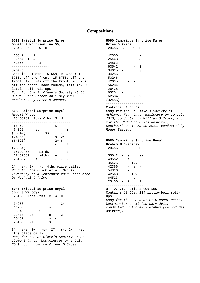#### **Compositions**

#### **5088 Bristol Surprise Major Donald F Morrison (no.55)**

```
 23456 M B W H 
------------------- 
 35642 2 1 
 32654 1 4 1 
 42356 - 1 
------------------- 
3-part.
```
Contains 21 56s, 15 65s, 9 8756s; 18 8765s off the front, 15 8756s off the front, 12 5678s off the front, 9 6578s off the front; back rounds, tittums, 50 little-bell roll-ups. Rung for the St Olave's Society at St Olave, Hart Street on 1 May 2011, conducted by Peter M Jasper.

#### **5080 Bristol Surprise Royal Robert W Lee**

| 23456789 | 7ths 6ths | м    | W    | H  |
|----------|-----------|------|------|----|
| 63452    |           |      |      |    |
|          |           | s    |      |    |
| 64352    | SS        |      |      | S  |
| (56342)  | SS        |      |      |    |
| (24365)  |           | S    | $2*$ |    |
| (64523)  |           | $2+$ | S    |    |
| 43526    |           |      |      | 2. |
| (25634)  |           |      |      |    |
| 35792468 | s3rds     |      |      | s  |
| 67432589 | s4ths     |      |      |    |
| 234567   | S         |      |      |    |
|          |           |      |      |    |

 $2* = s-, 2+ = -s.$  4ths place calls. Rung for the ULSCR at All Saints, Inveraray on 4 September 2010, conducted by Michael J Trimm.

#### **5040 Bristol Surprise Royal John S Warboys**

| 23456 7ths 6ths M |      |      |   | W             | H    |        |
|-------------------|------|------|---|---------------|------|--------|
| 34256             |      |      |   |               | ?∗   |        |
| 64253             |      |      | s |               |      |        |
| 56342             |      | $2*$ |   |               |      |        |
| 23465             | $2+$ |      | s |               | $3+$ |        |
| 65432             |      |      | S |               |      |        |
| 23456             | $2+$ |      | s |               |      |        |
|                   |      |      |   |               |      |        |
|                   |      |      |   | $\sim$ $\sim$ |      | $\sim$ |

 $3* = s-s$ ,  $3+ = -s-$ ,  $2* = s-$ ,  $2+ = -s$ . 4ths place calls. Rung for the St Olave's Society at St Clement Danes, Westminster on 3 July 2010, conducted by Oliver D Cross.

#### **5090 Cambridge Surprise Major Brian D Price**

| 23456   | R | м | W | H |
|---------|---|---|---|---|
|         |   |   |   |   |
| 42356   |   |   |   |   |
| 25463   |   | 2 | 2 | 3 |
| 34562   |   |   |   |   |
| 63542   |   |   |   | 3 |
| 34625   |   |   |   | 3 |
| 34256   |   | 2 | 2 |   |
| 53246   |   |   |   |   |
| 42635   |   |   |   |   |
| 56234   |   |   |   |   |
| 26435   |   |   |   |   |
| 63254   |   |   |   |   |
| 62534   |   |   |   | 2 |
| (32456) |   |   | s |   |
|         |   |   |   |   |

Contains 51 cru's.

Rung for the St Olave's Society at Ashlyns, High Lane, Haslemere on 29 July 2010, conducted by William S Croft; and for the ULSCR at Guy's Hospital, Southwark on 14 March 2011, conducted by Roger Bailey.

#### **5080 Cambridge Surprise Royal Graham M Bradshaw**

| 23456 M W   |   |       | H                                       |  |
|-------------|---|-------|-----------------------------------------|--|
| $53642 - s$ |   |       | SS                                      |  |
| 43652       | S |       |                                         |  |
| 35426       |   | I,V   |                                         |  |
| 42356       |   | $-$ a |                                         |  |
| 54326       |   |       |                                         |  |
| 42563       |   | I,V   |                                         |  |
| 64523       |   | $-$ a |                                         |  |
| $23456 - 2$ |   |       | 2                                       |  |
|             |   |       | a = O,F,I. Omit 2 courses.              |  |
|             |   |       | Contains 18 56s; 124 little-bell roll-  |  |
| ups.        |   |       |                                         |  |
|             |   |       | Rung for the ULSCR at St Clement Danes, |  |
|             |   |       | Westminster on 12 February 2011,<br>.   |  |

conducted by Andrew J Graham (second OFI omitted).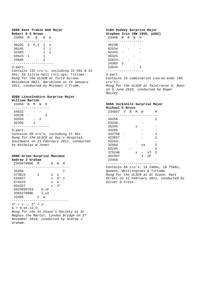#### **5088 Kent Treble Bob Major Robert D S Brown**

| 46325<br>$\overline{a}$<br>2<br>$F$ , I<br>1<br>36245<br>2<br>1<br>$\mathfrak{D}$<br>32465<br>1.<br>64523<br>1<br>$\mathbf{1}$<br>23645<br>2 |  |
|----------------------------------------------------------------------------------------------------------------------------------------------|--|

#### 3-part.

Contains 132 cru's, including 22 56s & 22 65s; 34 little-bell roll-ups; Tittums. Rung for the ULSCR at Torre Girona Residence Hall, Barcelona on 15 January 2011, conducted by Michael J Trimm.

#### **5088 Lincolnshire Surprise Major William Barton**

| 23456 | - R | M | M | H |  |
|-------|-----|---|---|---|--|
|       |     |   |   |   |  |
| 54632 |     |   |   |   |  |
| 43526 | -   |   |   | ર |  |
| 32654 |     |   |   |   |  |

 42356 2 -------------------

#### 3-part.

Contains 60 cru's, including 21 56s. Rung for the ULSCR at Guy's Hospital, Southwark on 21 February 2011, conducted by Nicholas W Jones.

#### **5088 Orion Surprise Maximus Andrew J Graham**

| 234567890E         | M |           |   | W    | H |
|--------------------|---|-----------|---|------|---|
| 34256              |   |           |   |      | 2 |
| 573624             | 2 |           | S | S    |   |
| 534627             |   |           | S | $3*$ | 2 |
| 674523             |   |           | S | S    |   |
| 654327             |   |           | S | $2*$ |   |
| 64238507E9         |   | 0,sF      |   |      |   |
| 436527890E         |   | I,s2      |   |      |   |
| 23456              | 2 | a         |   |      |   |
|                    |   |           |   |      |   |
| $= s--, 2*$<br>* 3 |   | $= S^-$ . |   |      |   |

 $a = 0, sF, s2, 0.$ 

Rung for the St Olave's Society at St Magnus the Martyr, London Bridge on 27 November 2010, conducted by Andrew J Graham.

#### **5184 Pudsey Surprise Major Stephen Ivin (RW 1956, p203)**  23456 B M W H ------------------- 45236 - - 62534 - - 62345 - -  $46325$ <br> $-2624$  -53624 24365 2 23645 - 2 ------------------- 3-part.

Contains 15 combination course-ends (69 cru's). Rung for the ULSCR at Talstrasse 5, Bonn on 5 June 2010, conducted by Roger Bailey.

#### **5056 Yorkshire Surprise Major Michael S Bruce**

| 234567 | V | в | М | W  |    | Η              |
|--------|---|---|---|----|----|----------------|
| 34256  |   |   |   |    |    | 2              |
| 53246  |   |   |   |    |    |                |
| 26345  |   |   | s |    |    |                |
| 34265  |   |   |   |    |    |                |
| 432756 |   |   |   |    |    | 3              |
| 423657 |   |   |   |    |    | $\overline{2}$ |
| 53264  |   |   |   |    |    |                |
| 32564  |   |   |   | SS |    | 2              |
| 63245  |   |   |   |    |    | $\overline{2}$ |
| 375246 |   |   | s |    | sT | 3              |
| 452367 |   |   |   | 3  | sF |                |
| 23456  |   |   |   |    |    |                |
|        |   |   |   |    |    |                |

Contains 86 cru's; 19 2468s, 16 7568s; Queens, Whittingtons & Tittums. Rung for the ULSCR at St Olave, Hart Street on 12 February 2011, conducted by Oliver D Cross.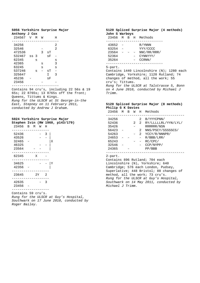|               |  | 5056 Yorkshire Surprise Major |  |
|---------------|--|-------------------------------|--|
| Anthony J Cox |  |                               |  |

| Alluluuy | U  | ີບບໍລ |   |    |   |
|----------|----|-------|---|----|---|
| 234567   | V  | М     | W |    | Η |
|          |    |       |   |    |   |
| 34256    |    |       |   |    | 2 |
| 32546    |    |       |   |    | 2 |
| 472536   |    |       | 3 | sT |   |
| 532467   | SS | 3     |   | sF |   |
| 62345    |    | S     |   |    | S |
| 42365    |    |       | S |    | 3 |
| 63245    |    |       | S |    | S |
| 537246   |    | s     |   | sT |   |
| 325647   |    |       |   | Ι  | 3 |
| 45236    |    |       |   | sF |   |
| 23456    |    |       |   |    |   |
|          |    |       |   |    |   |

Contains 94 cru's, including 22 56s & 19 65s; 22 8765s; 13 8765s off the front; Queens, Tittums & Kings. Rung for the ULSCR at St George-in-the East, Stepney on 11 February 2011, conducted by Andrew J Graham.

#### **5024 Yorkshire Surprise Major**

|           |  |   |      |                |   | Stephen Ivin (RW 1960, p143/179) |
|-----------|--|---|------|----------------|---|----------------------------------|
| 23456 B M |  |   | W    | $_{\rm H}$     |   |                                  |
| 52436     |  |   |      | 3              |   |                                  |
| 43526     |  |   |      |                |   |                                  |
| 32465     |  |   |      |                | Χ |                                  |
| 46325     |  |   |      |                |   |                                  |
| 23564     |  |   |      |                |   |                                  |
| 62345     |  | X |      |                |   |                                  |
| 34625     |  |   |      |                | Υ |                                  |
| 42356     |  |   |      |                |   |                                  |
| 23645     |  |   | 2Y - | $\overline{2}$ |   |                                  |
| 42635     |  |   |      | 3              |   |                                  |
| 23456     |  |   |      |                |   |                                  |
|           |  |   |      |                |   |                                  |

Contains 59 cru's. Rung for the ULSCR at Guy's Hospital, Southwark on 17 June 2010, conducted by Roger Bailey.

#### **5120 Spliced Surprise Major (4 methods) John S Warboys**

| 23456                                     | M | B. | H. | Methods                                                 |
|-------------------------------------------|---|----|----|---------------------------------------------------------|
| 43652<br>63254<br>23564<br>52364<br>35264 |   |    |    | R/YNNN<br>YYY/CCCC<br>NNC/RR/RRR/<br>CYNNYYY/<br>CCRNN/ |
|                                           |   |    |    |                                                         |

#### 5-part.

Contains 1440 Lincolnshire (N); 1280 each Cambridge, Yorkshire; 1120 Rutland; 74 changes of method, all the work; 55 cru's; Tittums. Rung for the ULSCR at Talstrasse 5, Bonn on 4 June 2010, conducted by Michael J Trimm.

#### **5120 Spliced Surprise Major (8 methods) Philip G K Davies**

| 23456 | М | в | W | Η | Methods             |
|-------|---|---|---|---|---------------------|
|       |   |   |   |   |                     |
| 34256 |   |   |   | 2 | B/YYYCPNN/          |
| 52436 |   |   | 2 | 2 | RY/LLLLLRL/YYN/LYL/ |
| 35426 |   |   |   |   | RRRRRR/NSN          |
| 56423 |   |   |   | 2 | NNS/PSCY/SSSSSCS/   |
| 54263 |   |   |   | 2 | YCCY/R/NNNPR/       |
| 24653 |   |   |   |   | R/BBB/LRR/          |
| 65243 |   |   |   |   | RC/CPC/             |
| 32546 |   |   |   |   | CCP/NYPP/           |
| 24365 |   |   |   |   | PP/BBB              |
|       |   |   |   |   |                     |

#### 2-part.

Contains 896 Rutland; 704 each Lincolnshire (N), Yorkshire; 640 Cambridge; 576 each London, Pudsey, Superlative; 448 Bristol; 88 changes of method, all the work; 73 cru's. Rung for the ULSCR at Guy's Hospital, Southwark on 14 May 2011, conducted by Michael J Trimm.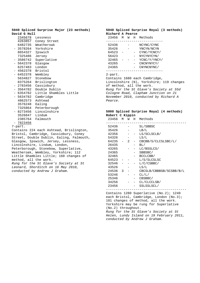|                               |                                    |  |              | 5040 Spliced Surprise Major (23 methods) |  |  |  |
|-------------------------------|------------------------------------|--|--------------|------------------------------------------|--|--|--|
|                               |                                    |  | David G Hull |                                          |  |  |  |
|                               | 2345678                            |  |              | Lessness                                 |  |  |  |
|                               | 4263857                            |  |              | Coney Street                             |  |  |  |
|                               | 6482735                            |  |              | Weatheroak                               |  |  |  |
|                               | - 3578264                          |  |              | Yorkshire                                |  |  |  |
|                               | 8654327                            |  |              | Ipswich                                  |  |  |  |
|                               | 7325486                            |  |              | Jersey                                   |  |  |  |
|                               | $-3586742$                         |  |              | Superlative                              |  |  |  |
|                               | $-5642378$                         |  |              | Glasgow                                  |  |  |  |
|                               | 6257483                            |  |              | London                                   |  |  |  |
|                               | - 4562378                          |  |              | Bristol                                  |  |  |  |
|                               | $-6452378$                         |  |              | Wembley                                  |  |  |  |
|                               | 5634827                            |  |              | Stonebow                                 |  |  |  |
|                               | 8375264                            |  |              | Brislington                              |  |  |  |
|                               | $-2783456$                         |  |              | Cassiobury                               |  |  |  |
|                               | $-3564782$                         |  |              | Double Dublin                            |  |  |  |
|                               | - 6354782                          |  |              | Little Shambles Little                   |  |  |  |
|                               | $-5634782$                         |  |              | Cambridge                                |  |  |  |
|                               | 4862573                            |  |              | Ashtead                                  |  |  |  |
|                               | 3576248                            |  |              | Ealing                                   |  |  |  |
|                               | 7325864                            |  |              | Peterborough                             |  |  |  |
|                               | $-8273456$                         |  |              | Lincolnshire                             |  |  |  |
|                               | 3526847                            |  |              | Lindum                                   |  |  |  |
|                               | 2385764                            |  |              | Falmouth                                 |  |  |  |
|                               | 7823456                            |  |              |                                          |  |  |  |
|                               | 7-part.                            |  |              |                                          |  |  |  |
|                               |                                    |  |              | Contains 224 each Ashtead, Brislington,  |  |  |  |
|                               |                                    |  |              | Bristol, Cambridge, Cassiobury, Coney    |  |  |  |
|                               |                                    |  |              | Street, Double Dublin, Ealing, Falmouth, |  |  |  |
|                               |                                    |  |              | Glasgow, Ipswich, Jersey, Lessness,      |  |  |  |
|                               |                                    |  |              | Lincolnshire, Lindum, London,            |  |  |  |
|                               |                                    |  |              | Peterborough, Stonebow, Superlative,     |  |  |  |
|                               |                                    |  |              | Weatheroak, Wembley, Yorkshire; 112      |  |  |  |
|                               |                                    |  |              | Little Shambles Little; 160 changes of   |  |  |  |
|                               |                                    |  |              | method, all the work.                    |  |  |  |
|                               |                                    |  |              | Rung for the St Olave's Society at St    |  |  |  |
|                               | Leonard, Shorditch on 16 May 2010, |  |              |                                          |  |  |  |
| conducted by Andrew J Graham. |                                    |  |              |                                          |  |  |  |

**5040 Spliced Surprise Royal (3 methods) Richard A Pearce** 

|                                        |  |  |      | 23456 M W H Methods                      |  |
|----------------------------------------|--|--|------|------------------------------------------|--|
| 52436                                  |  |  |      | NCYNC/CYNC                               |  |
| 35426                                  |  |  |      | YNCYN/NCYN                               |  |
| 64523 –                                |  |  |      | CYNC/YCNCY/                              |  |
| 56423                                  |  |  | $-$  | NYCYNYCYN/                               |  |
| $32465 - -$                            |  |  |      | - YCNC/Y/YNCY/                           |  |
| 43265                                  |  |  | $ -$ | CNCNYNYCY/                               |  |
| 24365                                  |  |  |      | CNYNCNYNC/                               |  |
|                                        |  |  |      |                                          |  |
| 2-part.                                |  |  |      |                                          |  |
|                                        |  |  |      | Contains 1680 each Cambridge,            |  |
|                                        |  |  |      | Lincolnshire (N), Yorkshire; 119 changes |  |
|                                        |  |  |      | of method, all the work.                 |  |
| Rung for the St Olave's Society at 55d |  |  |      |                                          |  |
| Cologne Road, Clapham Junction on 21   |  |  |      |                                          |  |
| November 2010, conducted by Richard A  |  |  |      |                                          |  |
| Pearce.                                |  |  |      |                                          |  |

#### **5000 Spliced Surprise Royal (4 methods) Robert C Kippin**

23456 M W H Methods

| 52436 |   |   | SL/SBBSC                |
|-------|---|---|-------------------------|
| 35426 |   |   | LB/L                    |
| 42356 |   |   | LS/SCLSCLB/             |
| 54326 |   |   | LS/L                    |
| 64235 |   | 2 | CBCBB/S/CLCSLSBC/L/     |
| 26435 |   |   | BL/                     |
| 43265 |   |   | LC/BSSLCS/              |
| 24365 |   |   | SBBSBC/                 |
| 32465 |   |   | BCCLCBB/                |
| 64523 |   |   | L/S/SLCSLSC             |
| 32546 |   |   | L/C/CSBBC/              |
| 43526 |   |   | LS/L                    |
| 24536 | 3 |   | CBCSLB/CBBBSB/SCSBB/B/L |
| 53246 |   |   | CL/L/                   |
| 25346 |   |   | CBSBBC/                 |
| 34256 |   |   | CL/CLCCLSB/             |
| 23456 |   |   | SSLSSLSCL/              |
|       |   |   |                         |

Contains 1280 Superlative (No.2); 1240 each Bristol, Cambridge, London (No.3); 101 changes of method, all the work. Yorkshire may be rung for Superlative (No.2) throughout. Rung for the St Olave's Society at St Helen, Lundy Island on 19 February 2011, conducted by Andrew J Graham.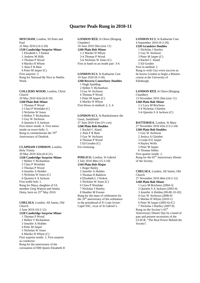#### **Quarter Peals Rung in 2010-11**

**MITCHAM**, London, SS Peter and Paul 22 May 2010 (14-2-20) **1320 Cambridge Surprise Minor**  1 Elizabeth L J Stokoe 2 Andrew M Hills 3 Thomas P Wood 4 Mariko H Whyte 5 Alan F R Bain 6 Peter M Jasper (C) First surprise: 3. Rung for National Be Nice to Nettles Week.

**COLLIERS WOOD**, London, Christ Church 29 May 2010 42m (6-0-19) **1260 Plain Bob Minor**  1 Thomas P Wood 2 Clara P Westlake (C) 3 Nicholas W Jones 4 Hellen V Richardson 5 Guy W Atchison 6 Quentin S A Jackson First minor inside: 4. First minor inside on tower bells: 5. Rung to commemorate the 70<sup>th</sup> Anniversary of Dunkirk.

**CLAPHAM COMMON**, London, Holy Trinity 29 May 2010 42m (6-0-21) **1320 Cambridge Surprise Minor**  1 Hellen V Richardson 2 Clara P Westlake 3 Thomas P Wood 4 Jennifer A Holden 5 Nicholas W Jones (C) 6 Quentin S A Jackson First treble bob: 1. Rung for Maya, daughter of UL member Greg Watson and Smitta Dutta, born on  $25<sup>th</sup>$  May 2010.

**CHELSEA**, London, All Saints, Old Church 2 June 2010 (10-2-12) **1320 Cambridge Surprise Minor**  1 Thomas P Wood 2 Hellen V Richardson 3 Jennifer A Holden 4 Peter M Jasper 5 Nicholas W Jones 6 Mariko H Whyte (C) First surprise inside: 2. First surprise as conductor. Rung for the anniversary of the coronation of HM Queen Elizabeth II **LONDON EC3**, St Olave (Ringing Chamber) 10 June 2010 50m (size 11) **1260 Plain Bob Minor**  1-2 Mariko H Whyte 3-4 Thomas P Wood 5-6 Nicholas W Jones (C) First in hand on an inside pair: 3-4.

**LONDON EC3**, St Katharine Cree 19 June 2010 (9-3-18) **1260 Reverse Canterbury Doubles**  1 Hugh Spalding 2 Hellen V Richardson 3 Guy W Atchison 4 Thomas P Wood 5 Peter M Jasper (C) 6 Mariko H Whyte First blows in method: 2, 3, 4.

**LONDON EC1**, St Bartholomew the Great, Smithfield 27 June 2010 43m (5½ cwt) **1260 Plain Bob Doubles**  1 Rachel C Aland 2 Alan F R Bain 3 Guy W Atchison 4 Thomas P Wood 5 Ed Gosden (C) For evensong.

**PIMLICO**, London, St Gabriel 2 July 2010 48m (15-3-10) **1344 Plain Bob Major**  1 Roger Bailey 2 Jennifer A Holden 3 Thomas D Baldwin 4 Elizabeth L J Stokoe 5 Nicholas W Jones (C) 6 Clara P Westlake 7 Nicholas J Hartley 8 Heather M Forster Rung for the mass of celebration for the  $10<sup>th</sup>$  anniversary of the ordination to the priesthood of Fr Luke Irvine-Capel SSC, vicar of St Gabriel's.

**LONDON EC3**, St Katharine Cree 4 September 2010 (9-3-18) **1320 Grandsire Doubles**  1 Nicholas J Hartley 2 Guy W Atchison 3 Peter M Jasper (C) 4 Rachel C Aland 5 Ed Gosden First in method: 2. Rung to wish Guy every success as he leaves London to begin a Masters course at the University of Edinburgh.

**LONDON EC3**, St Olave (Ringing Chamber) 13 November 2010 26m (size 11) **1260 Plain Bob Minor**  1-2 Lucy M Bricheno 3-4 Nicholas J Hartley 5-6 Quentin S A Jackson (C)

**BATTERSEA**, London, St Mary 27 November 2010 42m (13-2-24) **1260 Plain Bob Doubles**  1 Guy W Atchison 2 Jessica A Glaisher 3 Linda D E Jasper 4 Hayley Wells 5 Peter M Jasper 6 Thomas Sibley First quarter inside: 2. Rung for the 65<sup>th</sup> Anniversary Dinner of the Society.

**CHELSEA**, London, All Saints, Old Church 27 November 2010 46m (10-2-12) **1260 Plain Bob Minor**  1 Lucy M Bricheno (2004-5) 2 Quentin S A Jackson (2003-4) 3 Jennifer A Holden (99-00, 01-02) 4 Guy W Atchison (2008-9) 5 Mariko H Whyte (2010-1) 6 Peter M Jasper (2005-6) (C) 7 Nicholas J Hartley (2007-8) Rung on the Society's  $65<sup>t</sup>$ Anniversary Dinner Day by a band of past and present secretaries of the ULSCR. "The Real Power Behind the Society".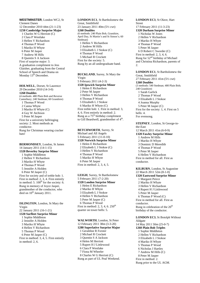**WESTMINSTER**, London WC2, St Clement Danes 12 December 2010 44m (21-1-23) **1250 Cambridge Surprise Major**  1 Charles W G Herriott (C) 2 Clara P Westlake 3 Hellen V Richardson 4 Thomas P Wood 5 Mariko H Whyte 6 Peter M Jasper 7 Andrew M Hills 8 Quentin S A Jackson First of surprise major: 3. A graduation compliment to Jess Glaisher, graduating from the Central School of Speech and Drama on Monday 13<sup>th</sup> December.

**HOLWELL**, Dorset, St Laurence 29 December 2010 (14-3-0) **1260 Doubles**  (4 methods: 480 Plain Bob and Reverse Canterbury; 240 Stedman; 60 Grandsire) 1 Thomas P Wood 2 Canna Whyte 3 Mariko H Whyte (C) 4 Guy W Atchison 5 Peter M Jasper First for a university bellringing society: 2. Most methods as conductor. Rung for Christmas wearing cracker hats!

**BERMONDSEY**, London, St James 14 January 2011 (14-1-15) **1320 Beverley Surprise Minor**  1 Sophie Middleton 2 Hellen V Richardson 3 Mariko H Whyte 4 Thomas P Wood 5 Jennifer A Holden 6 Peter M Jasper (C) First for society and of treble bob: 1. First in method: 2, 3, 4. First entirely in method:  $5. 100<sup>th</sup>$  for the society: 6. Rung in memory of Joyce Jasper, grandmother of the conductor, who died on 10<sup>th</sup> January 2011. **ISLINGTON**, London, St Mary the Virgin

22 January 2011 (16-1-21) **1320 Surfleet Surprise Minor**  1 Sophie Middleton 2 Jennifer A Holden 3 Mariko H Whyte 4 Hellen V Richardson 5 Thomas P Wood 6 Peter M Jasper (C) First in method: 3, 4, 5. First entirely in method: 2, 6.

**LONDON EC1**, St Bartholomew the Great, Smithfield 23 January 2011 40m (5½ cwt) **1260 Doubles**  (6 methods: 240 Plain Bob, Grandsire, April Day, St Martin's and St Simon's; 60 Stedman) 1 Hellen V Richardson 2 Andrew M Hills 3 Elizabeth L J Stokoe (C) 4 Thomas P Wood 5 Michael R Crockett First for the society: 5. Rung by an all undergraduate band.

**BUCKLAND**, Surrey, St Mary the Virgin 5 February 2011 (4-2-3) **1320 Ipswich Surprise Minor**  1 Helen E Richardson 2 Peter M Jasper 3 Hellen V Richardson 4 Thomas P Wood 5 Elizabeth L J Stokoe 6 Mariko H Whyte (C) First treble bob: 1. First in method: 3, 4, 6. First entirely in method: 2. Rung as a  $75<sup>th</sup>$  birthday compliment to Gill Beardwell, grandmother of 4<sup>th</sup>.

**BETCHWORTH**, Surrey, St Michael and All Angels 5 February 2011 (11-0-10) **1320 Norwich Surprise Minor**  1 Helen E Richardson 2 Elizabeth L J Stokoe (C) 3 Hellen V Richardson 4 Thomas P Wood 5 Mariko H Whyte 6 Peter M Jasper First in method: 2, 3, 4, 5.

**LEIGH**, Surrey, St Bartholomew 5 February 2011 (7-2-20) **1320 London Surprise Minor**  1 Helen E Richardson 2 Mariko H Whyte 3 Elizabeth L J Stokoe 4 Hellen V Richardson 5 Peter M Jasper (C) 6 Thomas P Wood First in method: 2, 3, 4, 6.  $250<sup>th</sup>$ quarter on tower bells: 5.

**WALWORTH**, London, St Peter 12 February 2011 38m (3-3-20) **1280 Superlative Surprise Major**  1 Geraldine R Forster 2 Michael R Crockett 3 Quentin S A Jackson 4 Helen M Herriott 5 Rupert H J Littlewood 6 Clara P Westlake 7 Fiona M Wheeler 8 Charles W G Herriott (C) Rung as part of UL Peal Weekend. **LONDON EC3**, St Olave, Hart Street 17 February 2011 (11-3-23) **1320 Durham Surprise Minor**  1 Nicholas W Jones 2 Hellen V Richardson 3 Mariko H Whyte 4 Thomas P Wood 5 Peter M Jasper 6 D Robert C Sworder (C) First in method: 2, 3, 4, 6. Rung for 52nd birthday of Michael and Christina Richardson, parents of 2.

**LONDON EC1**, St Bartholomew the Great, Smithfield 27 February 2011 41m (5½ cwt) **1260 Doubles**  (3 methods: 540 Stedman; 480 Plain Bob; 240 Grandsire) 1 Sarah Garlick 2 Thomas P Wood 3 Elizabeth L J Stokoe 4 Joanna Murphy 5 Peter M Jasper (C) First for the society: 1, 4. First on 5 bells: 4. For evensong.

**STEPNEY**, London, St George-inthe-East 12 March 2011 41m (6-0-9) **1320 Fawley Surprise Minor**  1 Andrew M Hills 2 Mariko H Whyte 3 Dominic D Meredith 4 Thomas P Wood 5 Peter M Jasper 6 Hellen V Richardson First in method for all. First as conductor. **KILBURN**, London, St Augustine 22 March 2011 52m (8-1-0) **1320 Eastwood Surprise Minor**  1 Margaret Peirce 2 Mariko H Whyte

3 Hellen V Richardson 4 Rupert H J Littlewood 5 Peter M Jasper 6 Thomas P Wood (C) First in method for all. First as conductor. Rung in celebration of the  $20<sup>th</sup>$ birthday of the conductor.

**LONDON EC3**, St Botolph Without Aldgate 14 May 2011 50m (25-0-7) **1260 Plain Bob Triples**  1 Sophie Middleton 2 Hellen V Richardson 3 Elizabeth L J Stokoe 4 Mariko H Whyte 5 Thomas P Wood 6 Nicholas J Hartley 7 Andrew M Hills (C) 8 Peter M Jasper First in method: 2. Rung prior to the UL AGM.